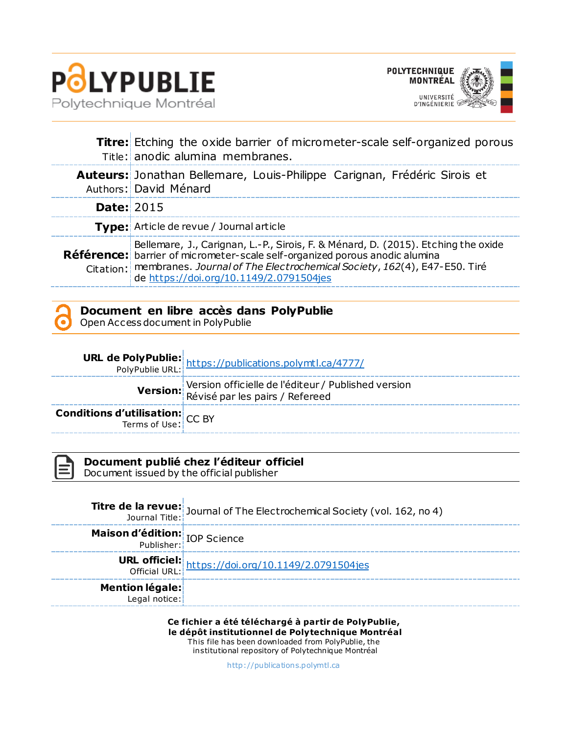



|                   | <b>Titre:</b> Etching the oxide barrier of micrometer-scale self-organized porous<br>Title: anodic alumina membranes.                                                                                                                                                                                    |
|-------------------|----------------------------------------------------------------------------------------------------------------------------------------------------------------------------------------------------------------------------------------------------------------------------------------------------------|
|                   | Auteurs: Jonathan Bellemare, Louis-Philippe Carignan, Frédéric Sirois et<br>Authors: David Ménard                                                                                                                                                                                                        |
| <b>Date: 2015</b> |                                                                                                                                                                                                                                                                                                          |
|                   | <b>Type:</b> Article de revue / Journal article                                                                                                                                                                                                                                                          |
|                   | Bellemare, J., Carignan, L.-P., Sirois, F. & Ménard, D. (2015). Etching the oxide<br><b>Référence:</b> barrier of micrometer-scale self-organized porous anodic alumina<br>Citation: membranes. Journal of The Electrochemical Society, 162(4), E47-E50. Tiré<br>de https://doi.org/10.1149/2.0791504jes |



Open Access document in PolyPublie

|                                                                   | <b>URL de PolyPublie:</b><br>PolyPublie URL: https://publications.polymtl.ca/4777/     |
|-------------------------------------------------------------------|----------------------------------------------------------------------------------------|
|                                                                   | Version officielle de l'éditeur / Published version<br>Révisé par les pairs / Refereed |
| <b>Conditions d'utilisation:</b> $CC$ BY<br>Terms of Use: $CC$ BY |                                                                                        |

**Document publié chez l'éditeur officiel**

Document issued by the official publisher

**Titre de la revue:** Journal of The Electrochemical Society (vol. 162, no 4)<br>Journal Title: **Maison d'édition: IOP Science URL officiel:** LE UTICIEL: <https://doi.org/10.1149/2.0791504jes><br>Official URL: **Mention légale:** Legal notice:

**Ce fichier a été téléchargé à partir de PolyPublie, le dépôt institutionnel de Polytechnique Montréal** This file has been downloaded from PolyPublie, the institutional repository of Polytechnique Montréal

[http://publica tions.polymtl.ca](http://publications.polymtl.ca/)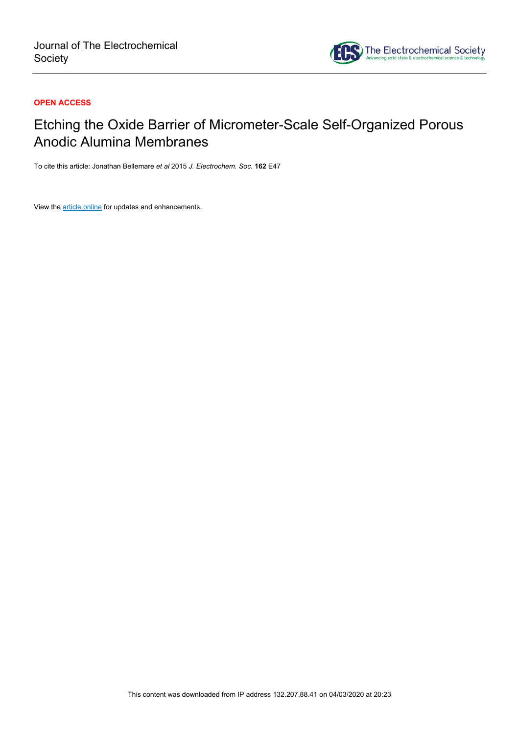

# **OPEN ACCESS**

# Etching the Oxide Barrier of Micrometer-Scale Self-Organized Porous Anodic Alumina Membranes

To cite this article: Jonathan Bellemare *et al* 2015 *J. Electrochem. Soc.* **162** E47

View the [article online](https://doi.org/10.1149/2.0791504jes) for updates and enhancements.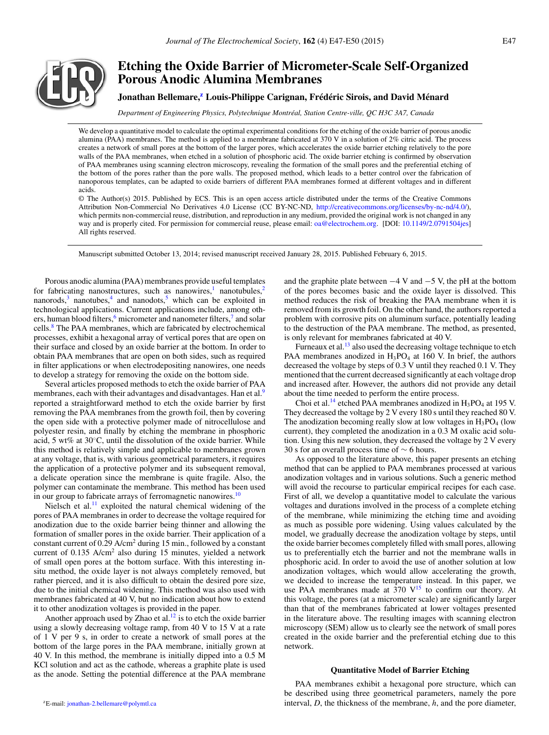

# **Etching the Oxide Barrier of Micrometer-Scale Self-Organized Porous Anodic Alumina Membranes**

# **Jonathan Bellemare,<sup>2</sup> Louis-Philippe Carignan, Frédéric Sirois, and David Ménard**

*Department of Engineering Physics, Polytechnique Montreal, Station Centre-ville, QC H3C 3A7, Canada ´*

We develop a quantitative model to calculate the optimal experimental conditions for the etching of the oxide barrier of porous anodic alumina (PAA) membranes. The method is applied to a membrane fabricated at 370 V in a solution of 2% citric acid. The process creates a network of small pores at the bottom of the larger pores, which accelerates the oxide barrier etching relatively to the pore walls of the PAA membranes, when etched in a solution of phosphoric acid. The oxide barrier etching is confirmed by observation of PAA membranes using scanning electron microscopy, revealing the formation of the small pores and the preferential etching of the bottom of the pores rather than the pore walls. The proposed method, which leads to a better control over the fabrication of nanoporous templates, can be adapted to oxide barriers of different PAA membranes formed at different voltages and in different acids.

© The Author(s) 2015. Published by ECS. This is an open access article distributed under the terms of the Creative Commons Attribution Non-Commercial No Derivatives 4.0 License (CC BY-NC-ND, [http://creativecommons.org/licenses/by-nc-nd/4.0/\)](http://creativecommons.org/licenses/by-nc-nd/4.0/), which permits non-commercial reuse, distribution, and reproduction in any medium, provided the original work is not changed in any way and is properly cited. For permission for commercial reuse, please email: [oa@electrochem.org.](mailto:oa@electrochem.org) [DOI: [10.1149/2.0791504jes\]](http://dx.doi.org/10.1149/2.0791504jes) All rights reserved.

Manuscript submitted October 13, 2014; revised manuscript received January 28, 2015. Published February 6, 2015.

Porous anodic alumina (PAA) membranes provide useful templates for fabricating nanostructures, such as nanowires,<sup>1</sup> nanotubules,<sup>[2](#page-5-1)</sup> nanorods, $3$  nanotubes, $4$  and nanodots, $5$  which can be exploited in technological applications. Current applications include, among others, human blood filters,  $\frac{6}{1}$  $\frac{6}{1}$  $\frac{6}{1}$  micrometer and nanometer filters,  $\frac{7}{1}$  and solar cells.[8](#page-5-7) The PAA membranes, which are fabricated by electrochemical processes, exhibit a hexagonal array of vertical pores that are open on their surface and closed by an oxide barrier at the bottom. In order to obtain PAA membranes that are open on both sides, such as required in filter applications or when electrodepositing nanowires, one needs to develop a strategy for removing the oxide on the bottom side.

Several articles proposed methods to etch the oxide barrier of PAA membranes, each with their advantages and disadvantages. Han et al.<sup>9</sup> reported a straightforward method to etch the oxide barrier by first removing the PAA membranes from the growth foil, then by covering the open side with a protective polymer made of nitrocellulose and polyester resin, and finally by etching the membrane in phosphoric acid, 5 wt% at 30◦C, until the dissolution of the oxide barrier. While this method is relatively simple and applicable to membranes grown at any voltage, that is, with various geometrical parameters, it requires the application of a protective polymer and its subsequent removal, a delicate operation since the membrane is quite fragile. Also, the polymer can contaminate the membrane. This method has been used in our group to fabricate arrays of ferromagnetic nanowires.<sup>10</sup>

Nielsch et al.<sup>11</sup> exploited the natural chemical widening of the pores of PAA membranes in order to decrease the voltage required for anodization due to the oxide barrier being thinner and allowing the formation of smaller pores in the oxide barrier. Their application of a constant current of 0.29 A/cm2 during 15 min., followed by a constant current of 0.135 A/cm2 also during 15 minutes, yielded a network of small open pores at the bottom surface. With this interesting insitu method, the oxide layer is not always completely removed, but rather pierced, and it is also difficult to obtain the desired pore size, due to the initial chemical widening. This method was also used with membranes fabricated at 40 V, but no indication about how to extend it to other anodization voltages is provided in the paper.

Another approach used by Zhao et al.<sup>12</sup> is to etch the oxide barrier using a slowly decreasing voltage ramp, from 40 V to 15 V at a rate of 1 V per 9 s, in order to create a network of small pores at the bottom of the large pores in the PAA membrane, initially grown at 40 V. In this method, the membrane is initially dipped into a 0.5 M KCl solution and act as the cathode, whereas a graphite plate is used as the anode. Setting the potential difference at the PAA membrane

<span id="page-2-0"></span>zE-mail: [jonathan-2.bellemare@polymtl.ca](mailto:jonathan-2.bellemare@polymtl.ca)

and the graphite plate between  $-4$  V and  $-5$  V, the pH at the bottom of the pores becomes basic and the oxide layer is dissolved. This method reduces the risk of breaking the PAA membrane when it is removed from its growth foil. On the other hand, the authors reported a problem with corrosive pits on aluminum surface, potentially leading to the destruction of the PAA membrane. The method, as presented, is only relevant for membranes fabricated at 40 V.

Furneaux et al.<sup>13</sup> also used the decreasing voltage technique to etch PAA membranes anodized in  $H_3PO_4$  at 160 V. In brief, the authors decreased the voltage by steps of 0.3 V until they reached 0.1 V. They mentioned that the current decreased significantly at each voltage drop and increased after. However, the authors did not provide any detail about the time needed to perform the entire process.

Choi et al.<sup>14</sup> etched PAA membranes anodized in  $H_3PO_4$  at 195 V. They decreased the voltage by 2 V every 180 s until they reached 80 V. The anodization becoming really slow at low voltages in  $H_3PO_4$  (low current), they completed the anodization in a 0.3 M oxalic acid solution. Using this new solution, they decreased the voltage by 2 V every 30 s for an overall process time of ∼ 6 hours.

As opposed to the literature above, this paper presents an etching method that can be applied to PAA membranes processed at various anodization voltages and in various solutions. Such a generic method will avoid the recourse to particular empirical recipes for each case. First of all, we develop a quantitative model to calculate the various voltages and durations involved in the process of a complete etching of the membrane, while minimizing the etching time and avoiding as much as possible pore widening. Using values calculated by the model, we gradually decrease the anodization voltage by steps, until the oxide barrier becomes completely filled with small pores, allowing us to preferentially etch the barrier and not the membrane walls in phosphoric acid. In order to avoid the use of another solution at low anodization voltages, which would allow accelerating the growth, we decided to increase the temperature instead. In this paper, we use PAA membranes made at  $370 \text{ V}^{15}$  to confirm our theory. At this voltage, the pores (at a micrometer scale) are significantly larger than that of the membranes fabricated at lower voltages presented in the literature above. The resulting images with scanning electron microscopy (SEM) allow us to clearly see the network of small pores created in the oxide barrier and the preferential etching due to this network.

#### **Quantitative Model of Barrier Etching**

PAA membranes exhibit a hexagonal pore structure, which can be described using three geometrical parameters, namely the pore interval, *D*, the thickness of the membrane, *h*, and the pore diameter,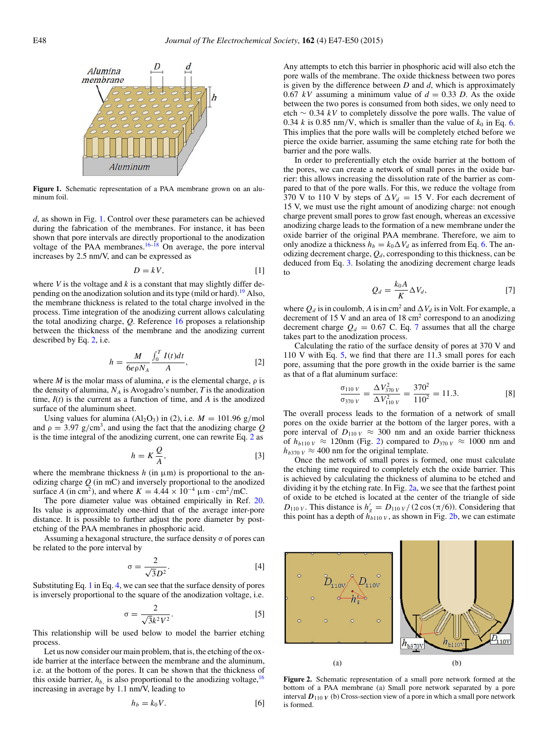<span id="page-3-0"></span>

**Figure 1.** Schematic representation of a PAA membrane grown on an aluminum foil.

*d*, as shown in Fig. [1.](#page-3-0) Control over these parameters can be achieved during the fabrication of the membranes. For instance, it has been shown that pore intervals are directly proportional to the anodization voltage of the PAA membranes.<sup>16[–18](#page-5-16)</sup> On average, the pore interval increases by 2.5 nm/V, and can be expressed as

<span id="page-3-2"></span>
$$
D = kV, \tag{1}
$$

where  $V$  is the voltage and  $k$  is a constant that may slightly differ de-pending on the anodization solution and its type (mild or hard).<sup>[19](#page-5-17)</sup> Also, the membrane thickness is related to the total charge involved in the process. Time integration of the anodizing current allows calculating the total anodizing charge, *Q*. Reference [16](#page-5-15) proposes a relationship between the thickness of the membrane and the anodizing current described by Eq. [2,](#page-3-1) i.e.

<span id="page-3-1"></span>
$$
h = \frac{M}{6e\rho N_A} \frac{\int_0^T I(t)dt}{A},
$$
 [2]

where *M* is the molar mass of alumina,  $e$  is the elemental charge,  $\rho$  is the density of alumina,  $N_A$  is Avogadro's number,  $T$  is the anodization time,  $I(t)$  is the current as a function of time, and  $A$  is the anodized surface of the aluminum sheet.

Using values for alumina  $(Al_2O_3)$  in (2), i.e.  $M = 101.96$  g/mol and  $\rho = 3.97$  g/cm<sup>3</sup>, and using the fact that the anodizing charge *Q* is the time integral of the anodizing current, one can rewrite Eq. [2](#page-3-1) as

$$
h = K \frac{Q}{A},\tag{3}
$$

where the membrane thickness  $h$  (in  $\mu$ m) is proportional to the anodizing charge *Q* (in mC) and inversely proportional to the anodized surface *A* (in cm<sup>2</sup>), and where  $K = 4.44 \times 10^{-4} \text{ }\mu\text{m} \cdot \text{cm}^2/\text{mC}$ .

The pore diameter value was obtained empirically in Ref. [20.](#page-5-18) Its value is approximately one-third that of the average inter-pore distance. It is possible to further adjust the pore diameter by postetching of the PAA membranes in phosphoric acid.

Assuming a hexagonal structure, the surface density  $\sigma$  of pores can be related to the pore interval by

<span id="page-3-3"></span>
$$
\sigma = \frac{2}{\sqrt{3}D^2}.\tag{4}
$$

Substituting Eq. [1](#page-3-2) in Eq. [4,](#page-3-3) we can see that the surface density of pores is inversely proportional to the square of the anodization voltage, i.e.

$$
\sigma = \frac{2}{\sqrt{3}k^2 V^2}.
$$
 [5]

This relationship will be used below to model the barrier etching process.

Let us now consider our main problem, that is, the etching of the oxide barrier at the interface between the membrane and the aluminum, i.e. at the bottom of the pores. It can be shown that the thickness of this oxide barrier,  $h_b$  is also proportional to the anodizing voltage,  $16$ increasing in average by 1.1 nm/V, leading to

<span id="page-3-4"></span>
$$
h_b = k_0 V. \tag{6}
$$

Any attempts to etch this barrier in phosphoric acid will also etch the pore walls of the membrane. The oxide thickness between two pores is given by the difference between *D* and *d*, which is approximately 0.67  $kV$  assuming a minimum value of  $d = 0.33$  *D*. As the oxide between the two pores is consumed from both sides, we only need to etch ∼ 0.34 *kV* to completely dissolve the pore walls. The value of 0.34  $k$  is 0.85 nm/V, which is smaller than the value of  $k_0$  in Eq. [6.](#page-3-4) This implies that the pore walls will be completely etched before we pierce the oxide barrier, assuming the same etching rate for both the barrier and the pore walls.

In order to preferentially etch the oxide barrier at the bottom of the pores, we can create a network of small pores in the oxide barrier: this allows increasing the dissolution rate of the barrier as compared to that of the pore walls. For this, we reduce the voltage from 370 V to 110 V by steps of  $\Delta V_d = 15$  V. For each decrement of 15 V, we must use the right amount of anodizing charge: not enough charge prevent small pores to grow fast enough, whereas an excessive anodizing charge leads to the formation of a new membrane under the oxide barrier of the original PAA membrane. Therefore, we aim to only anodize a thickness  $h_b = k_0 \Delta V_d$  as inferred from Eq. [6.](#page-3-4) The anodizing decrement charge,  $Q_d$ , corresponding to this thickness, can be deduced from Eq. [3.](#page-3-5) Isolating the anodizing decrement charge leads to

$$
Q_d = \frac{k_0 A}{K} \Delta V_d, \tag{7}
$$

<span id="page-3-6"></span>where  $Q_d$  is in coulomb, A is in cm<sup>2</sup> and  $\Delta V_d$  is in Volt. For example, a decrement of 15 V and an area of 18  $\text{cm}^2$  correspond to an anodizing decrement charge  $Q_d = 0.67$  $Q_d = 0.67$  C. Eq. 7 assumes that all the charge takes part to the anodization process.

Calculating the ratio of the surface density of pores at 370 V and 110 V with Eq. [5,](#page-3-7) we find that there are 11.3 small pores for each pore, assuming that the pore growth in the oxide barrier is the same as that of a flat aluminum surface:

$$
\frac{\sigma_{110 V}}{\sigma_{370 V}} = \frac{\Delta V_{370 V}^2}{\Delta V_{110 V}^2} = \frac{370^2}{110^2} = 11.3.
$$
 [8]

The overall process leads to the formation of a network of small pores on the oxide barrier at the bottom of the larger pores, with a pore interval of  $D_{110\,V} \approx 300$  nm and an oxide barrier thickness of  $h_{b110\,V} \approx 120$ nm (Fig. [2\)](#page-3-8) compared to  $D_{370\,V} \approx 1000$  nm and  $h_{b370 V} \approx 400$  nm for the original template.

<span id="page-3-5"></span>Once the network of small pores is formed, one must calculate the etching time required to completely etch the oxide barrier. This is achieved by calculating the thickness of alumina to be etched and dividing it by the etching rate. In Fig. [2a,](#page-3-8) we see that the farthest point of oxide to be etched is located at the center of the triangle of side  $D_{110 V}$ . This distance is  $h'_g = D_{110 V} / (2 \cos(\pi/6))$ . Considering that this point has a depth of  $h_{b110 V}$ , as shown in Fig. [2b,](#page-3-8) we can estimate

<span id="page-3-8"></span><span id="page-3-7"></span>

**Figure 2.** Schematic representation of a small pore network formed at the bottom of a PAA membrane (a) Small pore network separated by a pore interval  $D_{110}$   $V$  (b) Cross-section view of a pore in which a small pore network is formed.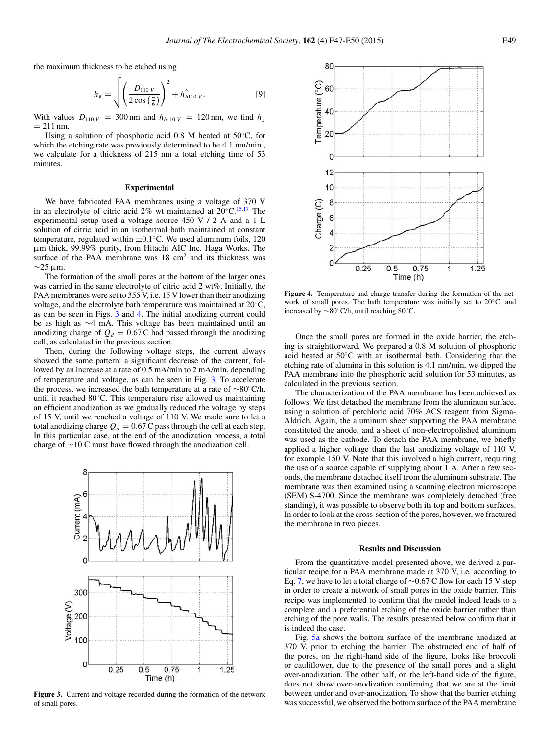the maximum thickness to be etched using

$$
h_g = \sqrt{\left(\frac{D_{110 V}}{2 \cos\left(\frac{\pi}{6}\right)}\right)^2 + h_{b110 V}^2}.
$$
 [9]

With values  $D_{110 V} = 300$  nm and  $h_{b110 V} = 120$  nm, we find  $h_g$  $= 211$  nm.

Using a solution of phosphoric acid 0.8 M heated at 50◦C, for which the etching rate was previously determined to be 4.1 nm/min., we calculate for a thickness of 215 nm a total etching time of 53 minutes.

## **Experimental**

We have fabricated PAA membranes using a voltage of 370 V in an electrolyte of citric acid 2% wt maintained at  $20^{\circ}$ C.<sup>15,[17](#page-5-19)</sup> The experimental setup used a voltage source 450 V / 2 A and a 1 L solution of citric acid in an isothermal bath maintained at constant temperature, regulated within  $\pm 0.1$ °C. We used aluminum foils, 120 μm thick, 99.99% purity, from Hitachi AIC Inc. Haga Works. The surface of the PAA membrane was 18 cm<sup>2</sup> and its thickness was  $\sim$ 25 μm.

The formation of the small pores at the bottom of the larger ones was carried in the same electrolyte of citric acid 2 wt%. Initially, the PAA membranes were set to 355 V, i.e. 15 V lower than their anodizing voltage, and the electrolyte bath temperature was maintained at 20◦C, as can be seen in Figs. [3](#page-4-0) and [4.](#page-4-1) The initial anodizing current could be as high as ∼4 mA. This voltage has been maintained until an anodizing charge of  $Q_d = 0.67$  C had passed through the anodizing cell, as calculated in the previous section.

Then, during the following voltage steps, the current always showed the same pattern: a significant decrease of the current, followed by an increase at a rate of 0.5 mA/min to 2 mA/min, depending of temperature and voltage, as can be seen in Fig. [3.](#page-4-0) To accelerate the process, we increased the bath temperature at a rate of ∼80◦C/h, until it reached 80◦C. This temperature rise allowed us maintaining an efficient anodization as we gradually reduced the voltage by steps of 15 V, until we reached a voltage of 110 V. We made sure to let a total anodizing charge  $Q_d = 0.67$  C pass through the cell at each step. In this particular case, at the end of the anodization process, a total charge of ∼10 C must have flowed through the anodization cell.

<span id="page-4-0"></span>

**Figure 3.** Current and voltage recorded during the formation of the network of small pores.

<span id="page-4-1"></span>

**Figure 4.** Temperature and charge transfer during the formation of the network of small pores. The bath temperature was initially set to 20◦C, and increased by ∼80◦C/h, until reaching 80◦C.

Once the small pores are formed in the oxide barrier, the etching is straightforward. We prepared a 0.8 M solution of phosphoric acid heated at 50◦C with an isothermal bath. Considering that the etching rate of alumina in this solution is 4.1 nm/min, we dipped the PAA membrane into the phosphoric acid solution for 53 minutes, as calculated in the previous section.

The characterization of the PAA membrane has been achieved as follows. We first detached the membrane from the aluminum surface, using a solution of perchloric acid 70% ACS reagent from Sigma-Aldrich. Again, the aluminum sheet supporting the PAA membrane constituted the anode, and a sheet of non-electropolished aluminum was used as the cathode. To detach the PAA membrane, we briefly applied a higher voltage than the last anodizing voltage of 110 V, for example 150 V. Note that this involved a high current, requiring the use of a source capable of supplying about 1 A. After a few seconds, the membrane detached itself from the aluminum substrate. The membrane was then examined using a scanning electron microscope (SEM) S-4700. Since the membrane was completely detached (free standing), it was possible to observe both its top and bottom surfaces. In order to look at the cross-section of the pores, however, we fractured the membrane in two pieces.

### **Results and Discussion**

From the quantitative model presented above, we derived a particular recipe for a PAA membrane made at 370 V, i.e*.* according to Eq. [7,](#page-3-6) we have to let a total charge of ∼0.67 C flow for each 15 V step in order to create a network of small pores in the oxide barrier. This recipe was implemented to confirm that the model indeed leads to a complete and a preferential etching of the oxide barrier rather than etching of the pore walls. The results presented below confirm that it is indeed the case.

Fig. [5a](#page-5-20) shows the bottom surface of the membrane anodized at 370 V, prior to etching the barrier. The obstructed end of half of the pores, on the right-hand side of the figure, looks like broccoli or cauliflower, due to the presence of the small pores and a slight over-anodization. The other half, on the left-hand side of the figure, does not show over-anodization confirming that we are at the limit between under and over-anodization. To show that the barrier etching was successful, we observed the bottom surface of the PAA membrane